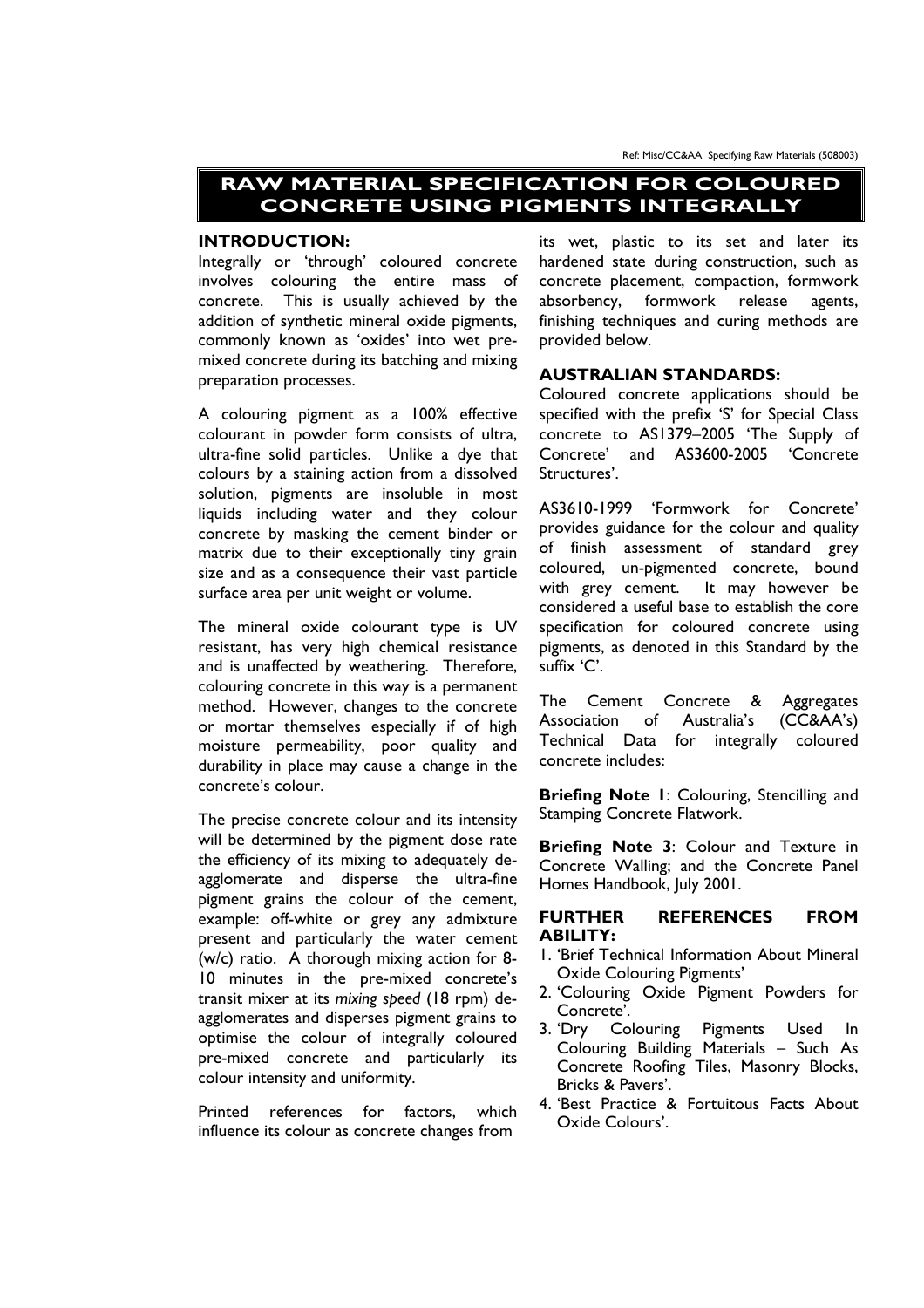Ref: Misc/CC&AA Specifying Raw Materials (508003)

# **RAW MATERIAL SPECIFICATION FOR COLOURED CONCRETE USING PIGMENTS INTEGRALLY**

# **INTRODUCTION:**

Integrally or 'through' coloured concrete involves colouring the entire mass of concrete. This is usually achieved by the addition of synthetic mineral oxide pigments, commonly known as 'oxides' into wet premixed concrete during its batching and mixing preparation processes.

A colouring pigment as a 100% effective colourant in powder form consists of ultra, ultra-fine solid particles. Unlike a dye that colours by a staining action from a dissolved solution, pigments are insoluble in most liquids including water and they colour concrete by masking the cement binder or matrix due to their exceptionally tiny grain size and as a consequence their vast particle surface area per unit weight or volume.

The mineral oxide colourant type is UV resistant, has very high chemical resistance and is unaffected by weathering. Therefore, colouring concrete in this way is a permanent method. However, changes to the concrete or mortar themselves especially if of high moisture permeability, poor quality and durability in place may cause a change in the concrete's colour.

The precise concrete colour and its intensity will be determined by the pigment dose rate the efficiency of its mixing to adequately deagglomerate and disperse the ultra-fine pigment grains the colour of the cement, example: off-white or grey any admixture present and particularly the water cement (w/c) ratio. A thorough mixing action for 8- 10 minutes in the pre-mixed concrete's transit mixer at its *mixing speed* (18 rpm) deagglomerates and disperses pigment grains to optimise the colour of integrally coloured pre-mixed concrete and particularly its colour intensity and uniformity.

Printed references for factors, which influence its colour as concrete changes from

its wet, plastic to its set and later its hardened state during construction, such as concrete placement, compaction, formwork absorbency, formwork release agents, finishing techniques and curing methods are provided below.

#### **AUSTRALIAN STANDARDS:**

Coloured concrete applications should be specified with the prefix 'S' for Special Class concrete to AS1379–2005 'The Supply of Concrete' and AS3600-2005 'Concrete Structures'.

AS3610-1999 'Formwork for Concrete' provides guidance for the colour and quality of finish assessment of standard grey coloured, un-pigmented concrete, bound with grey cement. It may however be considered a useful base to establish the core specification for coloured concrete using pigments, as denoted in this Standard by the suffix 'C'.

The Cement Concrete & Aggregates Association of Australia's (CC&AA's) Technical Data for integrally coloured concrete includes:

**Briefing Note 1**: Colouring, Stencilling and Stamping Concrete Flatwork.

**Briefing Note 3**: Colour and Texture in Concrete Walling; and the Concrete Panel Homes Handbook, July 2001.

# **FURTHER REFERENCES FROM ABILITY:**

- 1. 'Brief Technical Information About Mineral Oxide Colouring Pigments'
- 2. 'Colouring Oxide Pigment Powders for Concrete'.
- 3. 'Dry Colouring Pigments Used In Colouring Building Materials – Such As Concrete Roofing Tiles, Masonry Blocks, Bricks & Pavers'.
- 4. 'Best Practice & Fortuitous Facts About Oxide Colours'.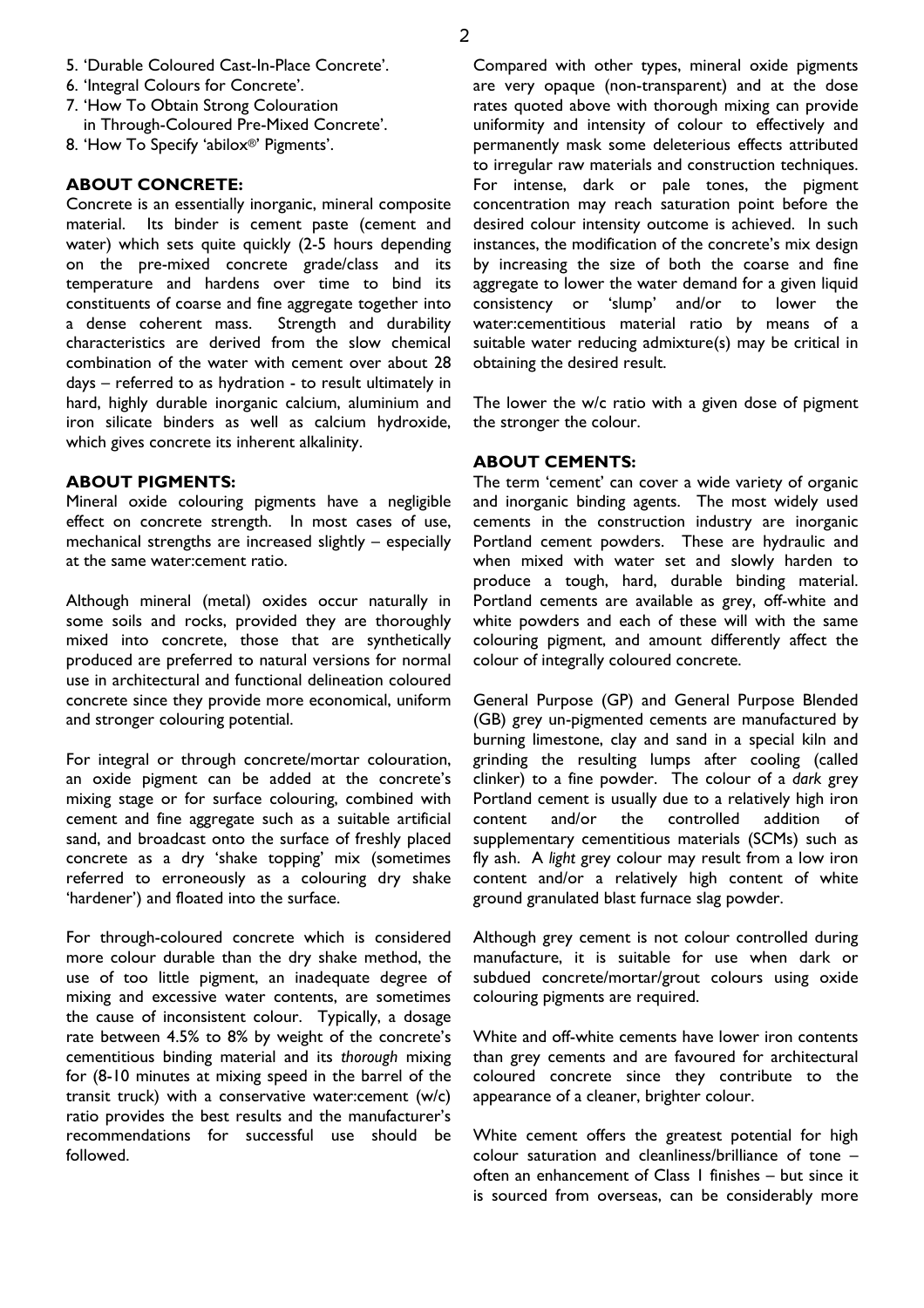- 5. 'Durable Coloured Cast-In-Place Concrete'.
- 6. 'Integral Colours for Concrete'.
- 7. 'How To Obtain Strong Colouration in Through-Coloured Pre-Mixed Concrete'.
- 8. 'How To Specify 'abilox®' Pigments'.

# **ABOUT CONCRETE:**

Concrete is an essentially inorganic, mineral composite material. Its binder is cement paste (cement and water) which sets quite quickly (2-5 hours depending on the pre-mixed concrete grade/class and its temperature and hardens over time to bind its constituents of coarse and fine aggregate together into a dense coherent mass. Strength and durability characteristics are derived from the slow chemical combination of the water with cement over about 28 days – referred to as hydration - to result ultimately in hard, highly durable inorganic calcium, aluminium and iron silicate binders as well as calcium hydroxide, which gives concrete its inherent alkalinity.

#### **ABOUT PIGMENTS:**

Mineral oxide colouring pigments have a negligible effect on concrete strength. In most cases of use, mechanical strengths are increased slightly – especially at the same water:cement ratio.

Although mineral (metal) oxides occur naturally in some soils and rocks, provided they are thoroughly mixed into concrete, those that are synthetically produced are preferred to natural versions for normal use in architectural and functional delineation coloured concrete since they provide more economical, uniform and stronger colouring potential.

For integral or through concrete/mortar colouration, an oxide pigment can be added at the concrete's mixing stage or for surface colouring, combined with cement and fine aggregate such as a suitable artificial sand, and broadcast onto the surface of freshly placed concrete as a dry 'shake topping' mix (sometimes referred to erroneously as a colouring dry shake 'hardener') and floated into the surface.

For through-coloured concrete which is considered more colour durable than the dry shake method, the use of too little pigment, an inadequate degree of mixing and excessive water contents, are sometimes the cause of inconsistent colour. Typically, a dosage rate between 4.5% to 8% by weight of the concrete's cementitious binding material and its *thorough* mixing for (8-10 minutes at mixing speed in the barrel of the transit truck) with a conservative water:cement (w/c) ratio provides the best results and the manufacturer's recommendations for successful use should be followed.

Compared with other types, mineral oxide pigments are very opaque (non-transparent) and at the dose rates quoted above with thorough mixing can provide uniformity and intensity of colour to effectively and permanently mask some deleterious effects attributed to irregular raw materials and construction techniques. For intense, dark or pale tones, the pigment concentration may reach saturation point before the desired colour intensity outcome is achieved. In such instances, the modification of the concrete's mix design by increasing the size of both the coarse and fine aggregate to lower the water demand for a given liquid consistency or 'slump' and/or to lower the water:cementitious material ratio by means of a suitable water reducing admixture(s) may be critical in obtaining the desired result.

The lower the w/c ratio with a given dose of pigment the stronger the colour.

## **ABOUT CEMENTS:**

The term 'cement' can cover a wide variety of organic and inorganic binding agents. The most widely used cements in the construction industry are inorganic Portland cement powders. These are hydraulic and when mixed with water set and slowly harden to produce a tough, hard, durable binding material. Portland cements are available as grey, off-white and white powders and each of these will with the same colouring pigment, and amount differently affect the colour of integrally coloured concrete.

General Purpose (GP) and General Purpose Blended (GB) grey un-pigmented cements are manufactured by burning limestone, clay and sand in a special kiln and grinding the resulting lumps after cooling (called clinker) to a fine powder. The colour of a *dark* grey Portland cement is usually due to a relatively high iron content and/or the controlled addition of supplementary cementitious materials (SCMs) such as fly ash. A *light* grey colour may result from a low iron content and/or a relatively high content of white ground granulated blast furnace slag powder.

Although grey cement is not colour controlled during manufacture, it is suitable for use when dark or subdued concrete/mortar/grout colours using oxide colouring pigments are required.

White and off-white cements have lower iron contents than grey cements and are favoured for architectural coloured concrete since they contribute to the appearance of a cleaner, brighter colour.

White cement offers the greatest potential for high colour saturation and cleanliness/brilliance of tone – often an enhancement of Class 1 finishes – but since it is sourced from overseas, can be considerably more